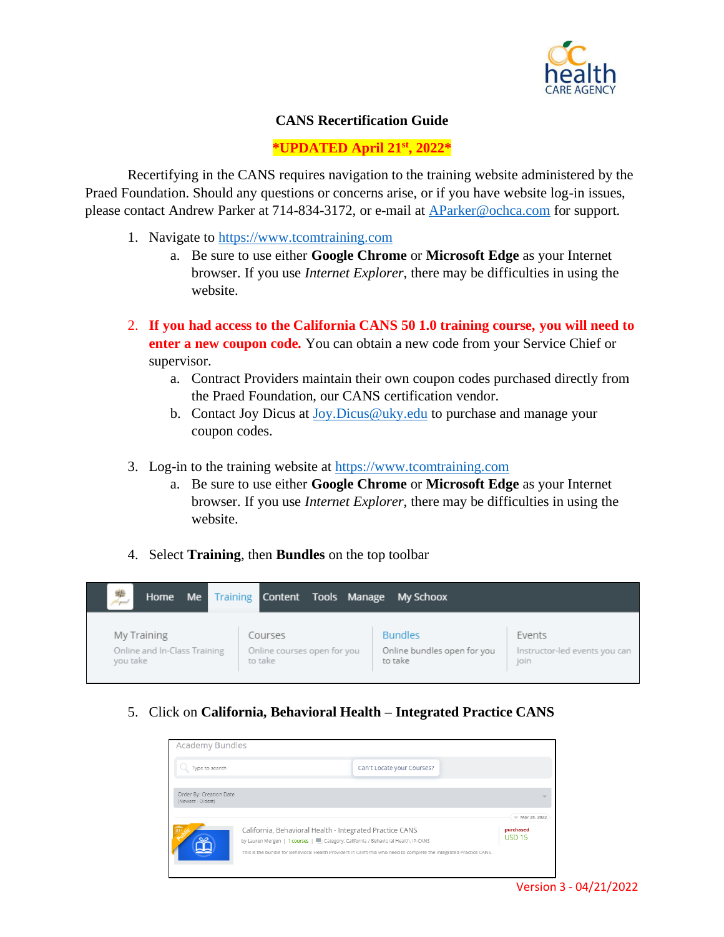

## **CANS Recertification Guide**

## **\*UPDATED April 21st , 2022\***

Recertifying in the CANS requires navigation to the training website administered by the Praed Foundation. Should any questions or concerns arise, or if you have website log-in issues, please contact Andrew Parker at 714-834-3172, or e-mail at [AParker@ochca.com](mailto:AParker@ochca.com) for support.

- 1. Navigate to [https://www.tcomtraining.com](https://www.tcomtraining.com/)
	- a. Be sure to use either **Google Chrome** or **Microsoft Edge** as your Internet browser. If you use *Internet Explorer*, there may be difficulties in using the website.
- 2. **If you had access to the California CANS 50 1.0 training course, you will need to enter a new coupon code.** You can obtain a new code from your Service Chief or supervisor.
	- a. Contract Providers maintain their own coupon codes purchased directly from the Praed Foundation, our CANS certification vendor.
	- b. Contact Joy Dicus at [Joy.Dicus@uky.edu](mailto:Joy.Dicus@uky.edu) to purchase and manage your coupon codes.
- 3. Log-in to the training website at [https://www.tcomtraining.com](https://www.tcomtraining.com/)
	- a. Be sure to use either **Google Chrome** or **Microsoft Edge** as your Internet browser. If you use *Internet Explorer*, there may be difficulties in using the website.
- 4. Select **Training**, then **Bundles** on the top toolbar

| 樂<br>Home Me                 | Training Content            | Tools Manage My Schoox      |                               |
|------------------------------|-----------------------------|-----------------------------|-------------------------------|
| My Training                  | Courses                     | <b>Bundles</b>              | Events                        |
| Online and In-Class Training | Online courses open for you | Online bundles open for you | Instructor-led events you can |
| you take                     | to take                     | to take                     | join                          |

5. Click on **California, Behavioral Health – Integrated Practice CANS**

| <b>Academy Bundles</b>                                                                                                                                                                                                                                                |  |                            |  |                  |
|-----------------------------------------------------------------------------------------------------------------------------------------------------------------------------------------------------------------------------------------------------------------------|--|----------------------------|--|------------------|
| Type to search                                                                                                                                                                                                                                                        |  | Can't Locate your Courses? |  |                  |
| Order By: Creation Date<br>(Newest - Oldest)                                                                                                                                                                                                                          |  |                            |  | $W$ Mar 28, 2022 |
| California, Behavioral Health - Integrated Practice CANS<br>by Lauren Mergen   1 courses     Category: California / Behavioral Health, IP-CANS<br>This is the bundle for Behavioral Health Providers in California who need to complete the Integrated Practice CANS. |  | purchased<br><b>USD 15</b> |  |                  |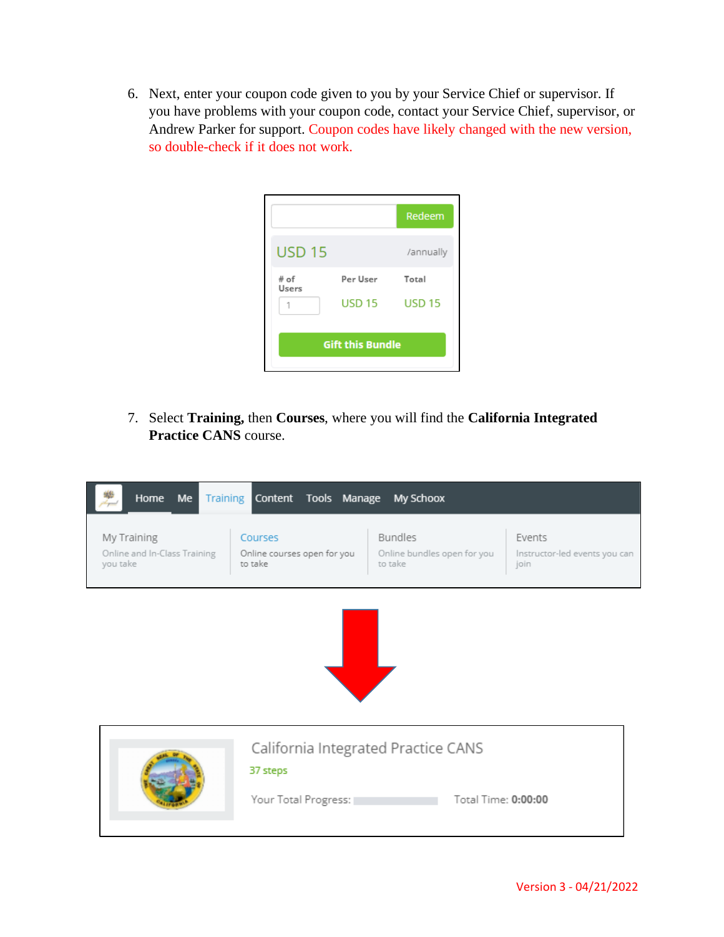6. Next, enter your coupon code given to you by your Service Chief or supervisor. If you have problems with your coupon code, contact your Service Chief, supervisor, or Andrew Parker for support. Coupon codes have likely changed with the new version, so double-check if it does not work.

|                         |               | Redeem        |  |  |
|-------------------------|---------------|---------------|--|--|
| <b>USD 15</b>           |               | /annually     |  |  |
| # of<br>Users           | Per User      | Total         |  |  |
|                         | <b>USD 15</b> | <b>USD 15</b> |  |  |
| <b>Gift this Bundle</b> |               |               |  |  |

7. Select **Training,** then **Courses**, where you will find the **California Integrated Practice CANS** course.